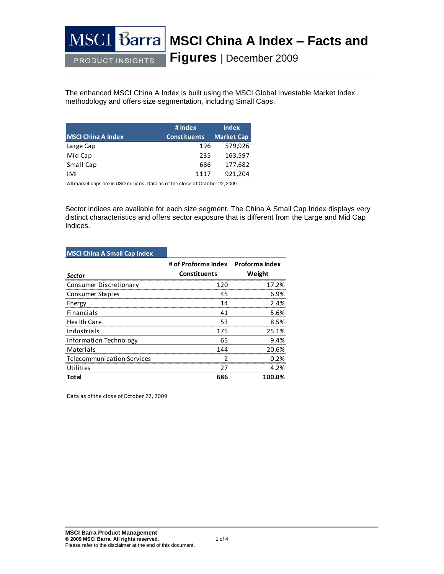#### MS<sub>o</sub> **Barra MSCI China A Index – Facts and Figures** | December 2009 **PRODUCT INSIGHTS**

The enhanced MSCI China A Index is built using the MSCI Global Investable Market Index methodology and offers size segmentation, including Small Caps.

|                           | # Index             | <b>Index</b>      |
|---------------------------|---------------------|-------------------|
| <b>MSCI China A Index</b> | <b>Constituents</b> | <b>Market Cap</b> |
| Large Cap                 | 196                 | 579,926           |
| Mid Cap                   | 235                 | 163,597           |
| Small Cap                 | 686                 | 177,682           |
| IMI                       | 1117                | 921,204           |

All market caps are in USD millions. Data as of the close of October 22, 2009

Sector indices are available for each size segment. The China A Small Cap Index displays very distinct characteristics and offers sector exposure that is different from the Large and Mid Cap Indices.

## **MSCI China A Small Cap Index**

| <b>Sector</b>                     | # of Proforma Index Proforma Index<br><b>Constituents</b> | Weight |
|-----------------------------------|-----------------------------------------------------------|--------|
| Consumer Discretionary            | 120                                                       | 17.2%  |
| Consumer Staples                  | 45                                                        | 6.9%   |
| Energy                            | 14                                                        | 2.4%   |
| Financials                        | 41                                                        | 5.6%   |
| <b>Health Care</b>                | 53                                                        | 8.5%   |
| Industrials                       | 175                                                       | 25.1%  |
| Information Technology            | 65                                                        | 94%    |
| Materials                         | 144                                                       | 20.6%  |
| <b>Telecommunication Services</b> | ว                                                         | 0.2%   |
| Utilities                         | 27                                                        | 4.2%   |
| <b>Total</b>                      | 686                                                       | 100.0% |

Data as of the close of October 22, 2009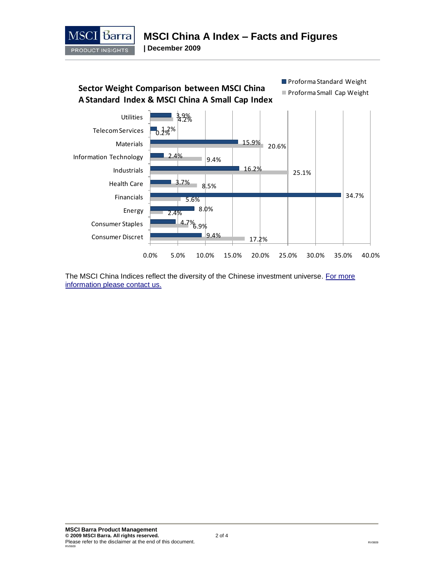

**| December 2009**



The MSCI China Indices reflect the diversity of the Chinese investment universe. For more [information please contact us.](http://www.mscibarra.com/about/client_service.html)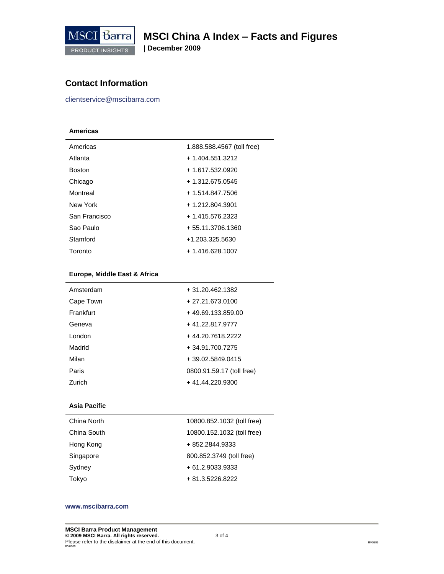

**| December 2009**

# **Contact Information**

clientservice@mscibarra.com

### **Americas**

| Americas      | 1.888.588.4567 (toll free) |
|---------------|----------------------------|
| Atlanta       | $+1.404.551.3212$          |
| <b>Boston</b> | + 1.617.532.0920           |
| Chicago       | $+1.312.675.0545$          |
| Montreal      | + 1.514.847.7506           |
| New York      | + 1.212.804.3901           |
| San Francisco | $+1.415.576.2323$          |
| Sao Paulo     | + 55.11.3706.1360          |
| Stamford      | +1.203.325.5630            |
| Toronto       | $+1.416.628.1007$          |

### **Europe, Middle East & Africa**

| Amsterdam | + 31.20.462.1382          |
|-----------|---------------------------|
| Cape Town | $+27.21.673.0100$         |
| Frankfurt | $+49.69.133.859.00$       |
| Geneva    | +41.22.817.9777           |
| London    | +44.20.7618.2222          |
| Madrid    | + 34.91.700.7275          |
| Milan     | $+39.02.5849.0415$        |
| Paris     | 0800.91.59.17 (toll free) |
| Zurich    | +41.44.220.9300           |

### **Asia Pacific**

| China North | 10800.852.1032 (toll free) |
|-------------|----------------------------|
| China South | 10800.152.1032 (toll free) |
| Hong Kong   | + 852.2844.9333            |
| Singapore   | 800.852.3749 (toll free)   |
| Sydney      | $+61.2.9033.9333$          |
| Tokyo       | + 81.3.5226.8222           |

#### **www.mscibarra.com**